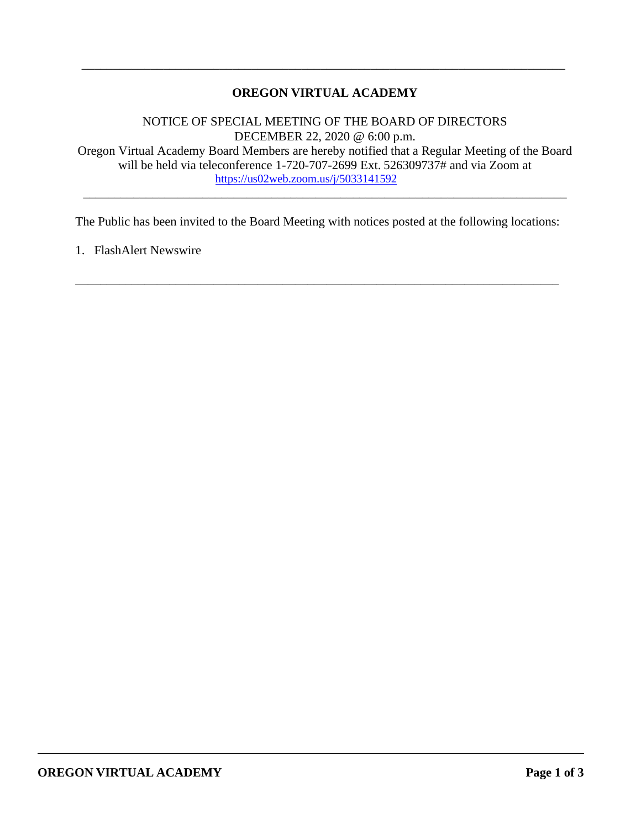# **OREGON VIRTUAL ACADEMY**

\_\_\_\_\_\_\_\_\_\_\_\_\_\_\_\_\_\_\_\_\_\_\_\_\_\_\_\_\_\_\_\_\_\_\_\_\_\_\_\_\_\_\_\_\_\_\_\_\_\_\_\_\_\_\_\_\_\_\_\_\_\_\_\_\_\_\_\_\_\_\_\_\_\_\_\_\_

NOTICE OF SPECIAL MEETING OF THE BOARD OF DIRECTORS DECEMBER 22, 2020 @ 6:00 p.m. Oregon Virtual Academy Board Members are hereby notified that a Regular Meeting of the Board will be held via teleconference 1-720-707-2699 Ext. 526309737# and via Zoom at <https://us02web.zoom.us/j/5033141592>

\_\_\_\_\_\_\_\_\_\_\_\_\_\_\_\_\_\_\_\_\_\_\_\_\_\_\_\_\_\_\_\_\_\_\_\_\_\_\_\_\_\_\_\_\_\_\_\_\_\_\_\_\_\_\_\_\_\_\_\_\_\_\_\_\_\_\_\_\_\_\_\_\_\_\_\_\_

The Public has been invited to the Board Meeting with notices posted at the following locations:

\_\_\_\_\_\_\_\_\_\_\_\_\_\_\_\_\_\_\_\_\_\_\_\_\_\_\_\_\_\_\_\_\_\_\_\_\_\_\_\_\_\_\_\_\_\_\_\_\_\_\_\_\_\_\_\_\_\_\_\_\_\_\_\_\_\_\_\_\_\_\_\_\_\_\_\_\_

1. FlashAlert Newswire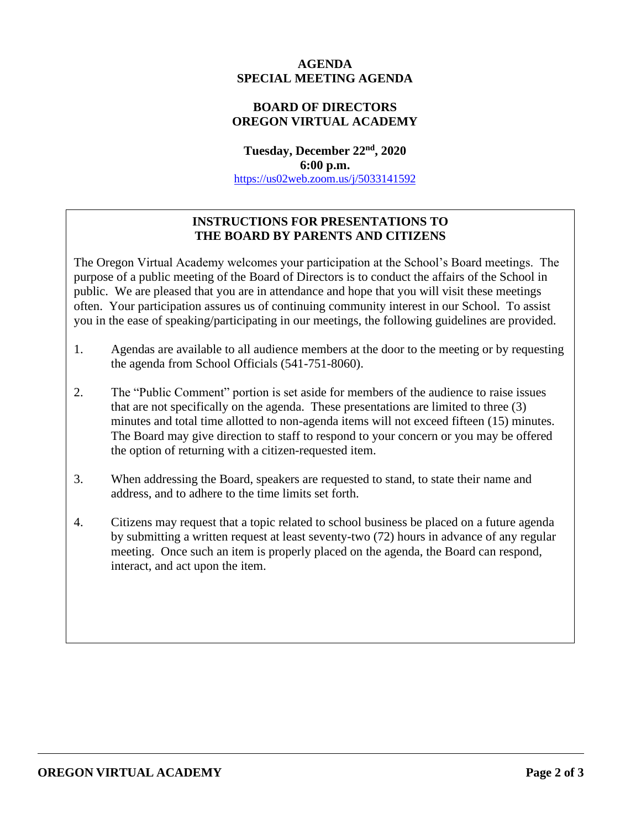# **AGENDA SPECIAL MEETING AGENDA**

# **BOARD OF DIRECTORS OREGON VIRTUAL ACADEMY**

**Tuesday, December 22nd, 2020 6:00 p.m.** <https://us02web.zoom.us/j/5033141592>

# **INSTRUCTIONS FOR PRESENTATIONS TO THE BOARD BY PARENTS AND CITIZENS**

The Oregon Virtual Academy welcomes your participation at the School's Board meetings. The purpose of a public meeting of the Board of Directors is to conduct the affairs of the School in public. We are pleased that you are in attendance and hope that you will visit these meetings often. Your participation assures us of continuing community interest in our School. To assist you in the ease of speaking/participating in our meetings, the following guidelines are provided.

- 1. Agendas are available to all audience members at the door to the meeting or by requesting the agenda from School Officials (541-751-8060).
- 2. The "Public Comment" portion is set aside for members of the audience to raise issues that are not specifically on the agenda. These presentations are limited to three (3) minutes and total time allotted to non-agenda items will not exceed fifteen (15) minutes. The Board may give direction to staff to respond to your concern or you may be offered the option of returning with a citizen-requested item.
- 3. When addressing the Board, speakers are requested to stand, to state their name and address, and to adhere to the time limits set forth.
- 4. Citizens may request that a topic related to school business be placed on a future agenda by submitting a written request at least seventy-two (72) hours in advance of any regular meeting. Once such an item is properly placed on the agenda, the Board can respond, interact, and act upon the item.